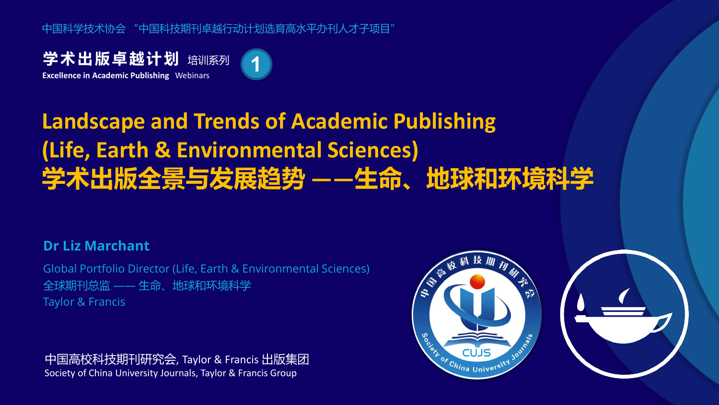中国科学技术协会 "中国科技期刊卓越行动计划选育高水平办刊人才子项目"

**学术出版卓越计划** 培训系列 **Excellence in Academic Publishing** Webinars



# **Landscape and Trends of Academic Publishing (Life, Earth & Environmental Sciences) 学术出版全景与发展趋势 ——生命、地球和环境科学**

#### **Dr Liz Marchant**

Global Portfolio Director (Life, Earth & Environmental Sciences) 全球期刊总监 —— 生命、地球和环境科学 Taylor & Francis

中国高校科技期刊研究会, Taylor & Francis 出版集团 Society of China University Journals, Taylor & Francis Group

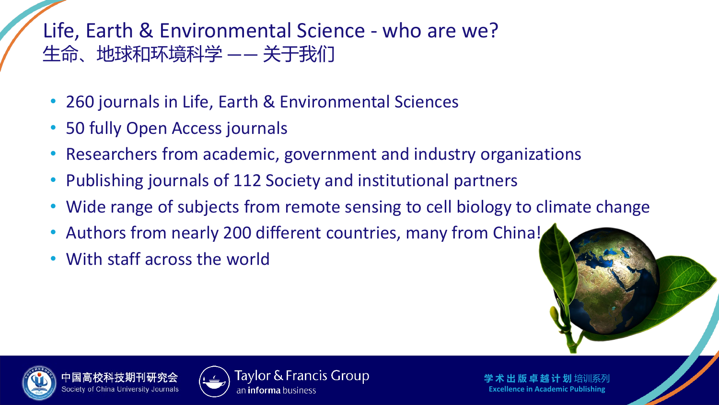### Life, Earth & Environmental Science - who are we? 生命、地球和环境科学 —— 关于我们

- 260 journals in Life, Earth & Environmental Sciences
- 50 fully Open Access journals
- Researchers from academic, government and industry organizations
- Publishing journals of 112 Society and institutional partners
- Wide range of subjects from remote sensing to cell biology to climate change
- Authors from nearly 200 different countries, many from China!
- With staff across the world





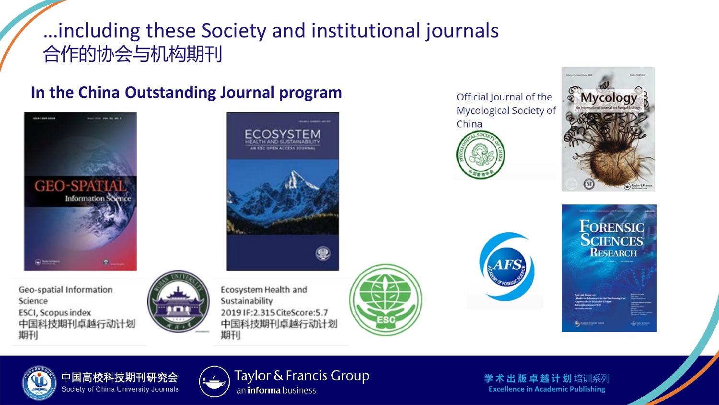### …including these Society and institutional journals 合作的协会与机构期刊

#### **In the China Outstanding Journal program**







Ecosystem Health and Sustainability 2019 IF:2.315 CiteScore: 5.7 中国科技期刊卓越行动计划 期刊



Official lournal of the Mycological Society of China







中国高校科技期刊研究会 Society of China University Journals



Taylor & Francis Group an *informa* business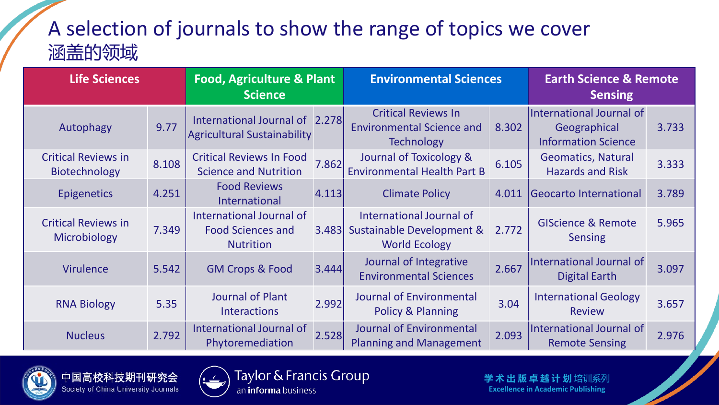## A selection of journals to show the range of topics we cover 涵盖的领域

| <b>Life Sciences</b>                        |       | <b>Food, Agriculture &amp; Plant</b><br><b>Science</b>                   |       | <b>Environmental Sciences</b>                                                       |       | <b>Earth Science &amp; Remote</b><br><b>Sensing</b>                    |       |
|---------------------------------------------|-------|--------------------------------------------------------------------------|-------|-------------------------------------------------------------------------------------|-------|------------------------------------------------------------------------|-------|
| Autophagy                                   | 9.77  | International Journal of 2.278<br><b>Agricultural Sustainability</b>     |       | <b>Critical Reviews In</b><br><b>Environmental Science and</b><br><b>Technology</b> | 8.302 | International Journal of<br>Geographical<br><b>Information Science</b> | 3.733 |
| <b>Critical Reviews in</b><br>Biotechnology | 8.108 | <b>Critical Reviews In Food</b><br><b>Science and Nutrition</b>          | 7.862 | Journal of Toxicology &<br><b>Environmental Health Part B</b>                       | 6.105 | <b>Geomatics, Natural</b><br><b>Hazards and Risk</b>                   | 3.333 |
| <b>Epigenetics</b>                          | 4.251 | <b>Food Reviews</b><br>International                                     | 4.113 | <b>Climate Policy</b>                                                               | 4.011 | Geocarto International                                                 | 3.789 |
| <b>Critical Reviews in</b><br>Microbiology  | 7.349 | International Journal of<br><b>Food Sciences and</b><br><b>Nutrition</b> | 3.483 | International Journal of<br>Sustainable Development &<br><b>World Ecology</b>       | 2.772 | <b>GIScience &amp; Remote</b><br><b>Sensing</b>                        | 5.965 |
| <b>Virulence</b>                            | 5.542 | <b>GM Crops &amp; Food</b>                                               | 3.444 | Journal of Integrative<br><b>Environmental Sciences</b>                             | 2.667 | International Journal of<br><b>Digital Earth</b>                       | 3.097 |
| <b>RNA Biology</b>                          | 5.35  | <b>Journal of Plant</b><br><b>Interactions</b>                           | 2.992 | <b>Journal of Environmental</b><br>Policy & Planning                                | 3.04  | <b>International Geology</b><br><b>Review</b>                          | 3.657 |
| <b>Nucleus</b>                              | 2.792 | International Journal of<br>Phytoremediation                             | 2.528 | Journal of Environmental<br><b>Planning and Management</b>                          | 2.093 | International Journal of<br><b>Remote Sensing</b>                      | 2.976 |





Taylor & Francis Group an informa business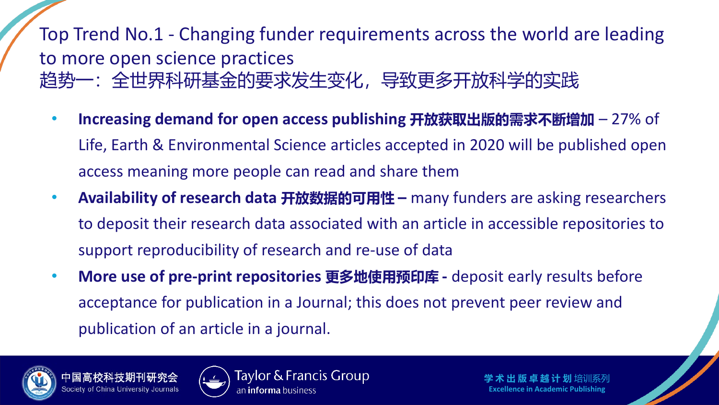Top Trend No.1 - Changing funder requirements across the world are leading to more open science practices 趋势一:全世界科研基金的要求发生变化,导致更多开放科学的实践

- **Increasing demand for open access publishing 开放获取出版的需求不断增加** 27% of Life, Earth & Environmental Science articles accepted in 2020 will be published open access meaning more people can read and share them
- **Availability of research data 开放数据的可用性 –** many funders are asking researchers to deposit their research data associated with an article in accessible repositories to support reproducibility of research and re-use of data
- **More use of pre-print repositories 更多地使用预印库 -** deposit early results before acceptance for publication in a Journal; this does not prevent peer review and publication of an article in a journal.





Taylor & Francis Group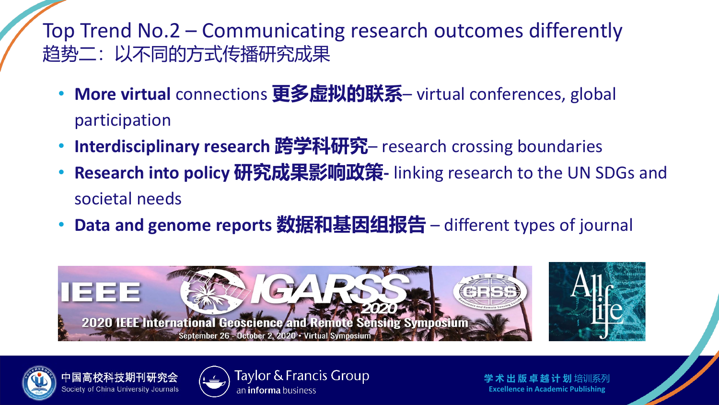Top Trend No.2 – Communicating research outcomes differently 趋势二:以不同的方式传播研究成果

- **More virtual** connections **更多虚拟的联系** virtual conferences, global participation
- **Interdisciplinary research 跨学科研究** research crossing boundaries
- **Research into policy 研究成果影响政策-** linking research to the UN SDGs and societal needs
- **Data and genome reports 数据和基因组报告** different types of journal





Society of China University Journals



Taylor & Francis Group an **informa** business